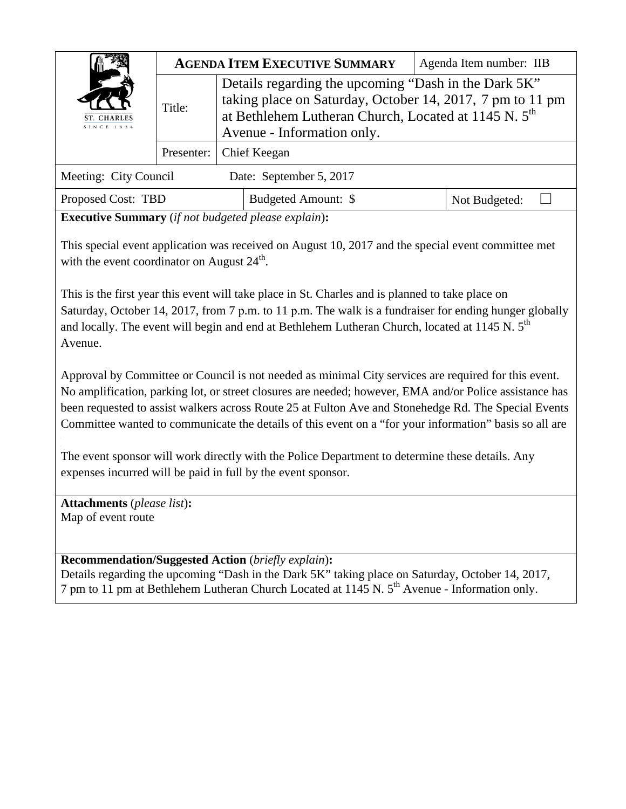| <b>ST. CHARLES</b><br>SINCE 1834 |            |                                                                                                                                                                                                                     | <b>AGENDA ITEM EXECUTIVE SUMMARY</b> |               | Agenda Item number: IIB |  |
|----------------------------------|------------|---------------------------------------------------------------------------------------------------------------------------------------------------------------------------------------------------------------------|--------------------------------------|---------------|-------------------------|--|
|                                  | Title:     | Details regarding the upcoming "Dash in the Dark 5K"<br>taking place on Saturday, October 14, 2017, 7 pm to 11 pm<br>at Bethlehem Lutheran Church, Located at 1145 N. 5 <sup>th</sup><br>Avenue - Information only. |                                      |               |                         |  |
|                                  | Presenter: | Chief Keegan                                                                                                                                                                                                        |                                      |               |                         |  |
| Meeting: City Council            |            |                                                                                                                                                                                                                     | Date: September 5, 2017              |               |                         |  |
| Proposed Cost: TBD               |            | Budgeted Amount: \$                                                                                                                                                                                                 |                                      | Not Budgeted: |                         |  |

**Executive Summary** (*if not budgeted please explain*)**:**

This special event application was received on August 10, 2017 and the special event committee met with the event coordinator on August  $24^{\text{th}}$ .

This is the first year this event will take place in St. Charles and is planned to take place on Saturday, October 14, 2017, from 7 p.m. to 11 p.m. The walk is a fundraiser for ending hunger globally and locally. The event will begin and end at Bethlehem Lutheran Church, located at 1145 N. 5<sup>th</sup> Avenue.

Approval by Committee or Council is not needed as minimal City services are required for this event. No amplification, parking lot, or street closures are needed; however, EMA and/or Police assistance has been requested to assist walkers across Route 25 at Fulton Ave and Stonehedge Rd. The Special Events Committee wanted to communicate the details of this event on a "for your information" basis so all are

The event sponsor will work directly with the Police Department to determine these details. Any expenses incurred will be paid in full by the event sponsor.

**Attachments** (*please list*)**:**  Map of event route

**Recommendation/Suggested Action** (*briefly explain*)**:**  Details regarding the upcoming "Dash in the Dark 5K" taking place on Saturday, October 14, 2017, 7 pm to 11 pm at Bethlehem Lutheran Church Located at 1145 N. 5<sup>th</sup> Avenue - Information only.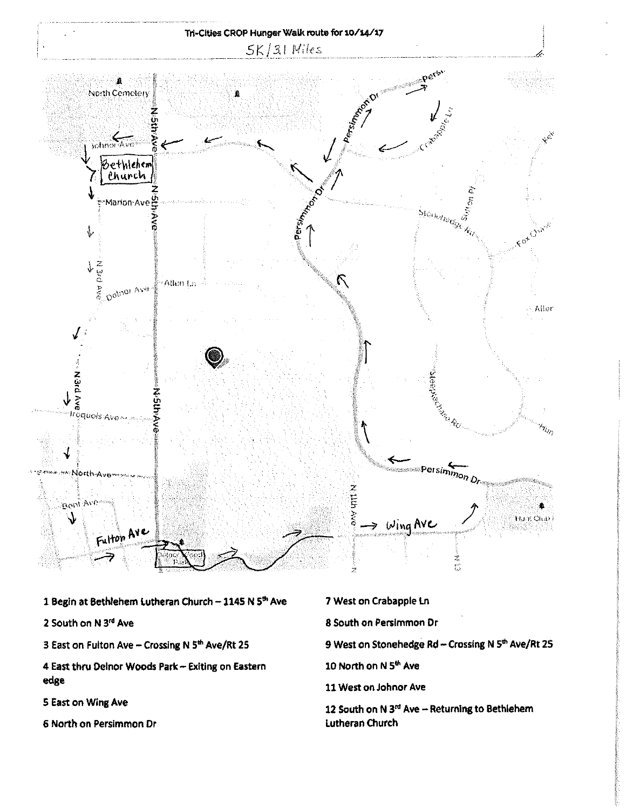

- 1 Begin at Bethlehem Lutheran Church 1145 N 5th Ave
- 2 South on N 3rd Ave
- 3 East on Fulton Ave Crossing N 5th Ave/Rt 25
- 4 East thru Delnor Woods Park Exiting on Eastern edge
- 5 East on Wing Ave
- 6 North on Persimmon Dr
- 7 West on Crabapple Ln 8 South on Persimmon Dr
- 9 West on Stonehedge Rd Crossing N 5th Ave/Rt 25
- 10 North on N 5th Ave
- 11 West on Johnor Ave
- 12 South on N 3rd Ave Returning to Bethlehem Lutheran Church